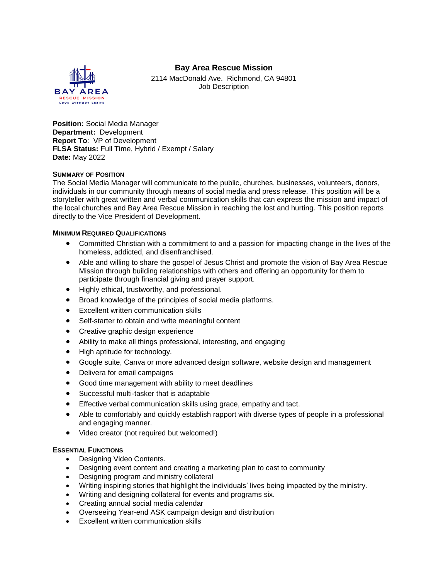## **Bay Area Rescue Mission**



2114 MacDonald Ave. Richmond, CA 94801 Job Description

**Position:** Social Media Manager **Department:** Development **Report To**: VP of Development **FLSA Status:** Full Time, Hybrid / Exempt / Salary **Date:** May 2022

## **SUMMARY OF POSITION**

The Social Media Manager will communicate to the public, churches, businesses, volunteers, donors, individuals in our community through means of social media and press release. This position will be a storyteller with great written and verbal communication skills that can express the mission and impact of the local churches and Bay Area Rescue Mission in reaching the lost and hurting. This position reports directly to the Vice President of Development.

## **MINIMUM REQUIRED QUALIFICATIONS**

- Committed Christian with a commitment to and a passion for impacting change in the lives of the homeless, addicted, and disenfranchised.
- Able and willing to share the gospel of Jesus Christ and promote the vision of Bay Area Rescue Mission through building relationships with others and offering an opportunity for them to participate through financial giving and prayer support.
- $\bullet$  Highly ethical, trustworthy, and professional.
- Broad knowledge of the principles of social media platforms.
- Excellent written communication skills
- Self-starter to obtain and write meaningful content
- Creative graphic design experience
- Ability to make all things professional, interesting, and engaging
- High aptitude for technology.
- Google suite, Canva or more advanced design software, website design and management
- Delivera for email campaigns
- Good time management with ability to meet deadlines
- Successful multi-tasker that is adaptable
- **Effective verbal communication skills using grace, empathy and tact.**
- Able to comfortably and quickly establish rapport with diverse types of people in a professional and engaging manner.
- Video creator (not required but welcomed!)

## **ESSENTIAL FUNCTIONS**

- Designing Video Contents.
- Designing event content and creating a marketing plan to cast to community
- Designing program and ministry collateral
- Writing inspiring stories that highlight the individuals' lives being impacted by the ministry.
- Writing and designing collateral for events and programs six.
- Creating annual social media calendar
- Overseeing Year-end ASK campaign design and distribution
- Excellent written communication skills